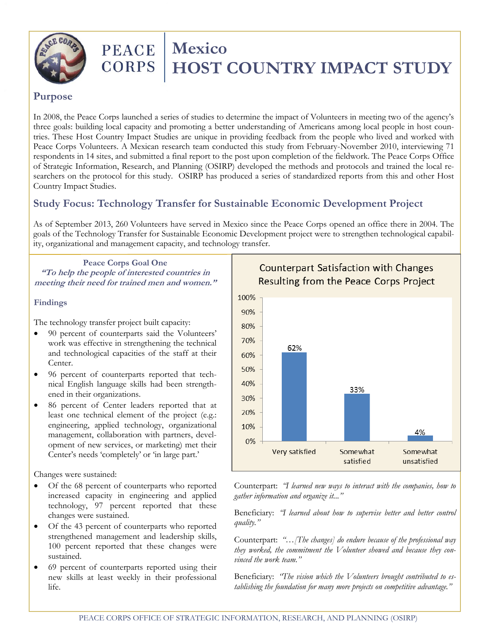

# **PEACE** | **Mexico**<br>CORPS | **HOST HOST COUNTRY IMPACT STUDY**

#### **Purpose**

In 2008, the Peace Corps launched a series of studies to determine the impact of Volunteers in meeting two of the agency's three goals: building local capacity and promoting a better understanding of Americans among local people in host countries. These Host Country Impact Studies are unique in providing feedback from the people who lived and worked with Peace Corps Volunteers. A Mexican research team conducted this study from February-November 2010, interviewing 71 respondents in 14 sites, and submitted a final report to the post upon completion of the fieldwork. The Peace Corps Office of Strategic Information, Research, and Planning (OSIRP) developed the methods and protocols and trained the local researchers on the protocol for this study. OSIRP has produced a series of standardized reports from this and other Host Country Impact Studies.

### **Study Focus: Technology Transfer for Sustainable Economic Development Project**

As of September 2013, 260 Volunteers have served in Mexico since the Peace Corps opened an office there in 2004. The goals of the Technology Transfer for Sustainable Economic Development project were to strengthen technological capability, organizational and management capacity, and technology transfer.

**Peace Corps Goal One "To help the people of interested countries in meeting their need for trained men and women."**

#### **Findings**

The technology transfer project built capacity:

- 90 percent of counterparts said the Volunteers' work was effective in strengthening the technical and technological capacities of the staff at their Center.
- 96 percent of counterparts reported that technical English language skills had been strengthened in their organizations.
- 86 percent of Center leaders reported that at least one technical element of the project (e.g.: engineering, applied technology, organizational management, collaboration with partners, development of new services, or marketing) met their Center's needs 'completely' or 'in large part.'

Changes were sustained:

- Of the 68 percent of counterparts who reported increased capacity in engineering and applied technology, 97 percent reported that these changes were sustained.
- Of the 43 percent of counterparts who reported strengthened management and leadership skills, 100 percent reported that these changes were sustained.
- 69 percent of counterparts reported using their new skills at least weekly in their professional life.

**Counterpart Satisfaction with Changes** Resulting from the Peace Corps Project



Counterpart: *"I learned new ways to interact with the companies, how to gather information and organize it..."*

Beneficiary: *"I learned about how to supervise better and better control quality."*

Counterpart: *"…[The changes] do endure because of the professional way they worked, the commitment the Volunteer showed and because they convinced the work team."*

Beneficiary: *"The vision which the Volunteers brought contributed to establishing the foundation for many more projects on competitive advantage."*